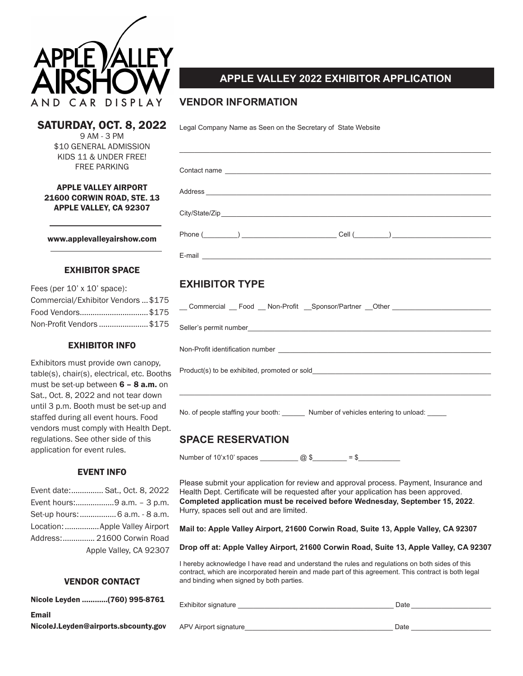

## SATURDAY, OCT. 8, 2022

9 AM - 3 PM \$10 GENERAL ADMISSION KIDS 11 & UNDER FREE! FREE PARKING

### APPLE VALLEY AIRPORT 21600 CORWIN ROAD, STE. 13 APPLE VALLEY, CA 92307

www.applevalleyairshow.com

### EXHIBITOR SPACE

| Fees (per $10'$ x $10'$ space):     |  |
|-------------------------------------|--|
| Commercial/Exhibitor Vendors  \$175 |  |
| Food Vendors\$175                   |  |
| Non-Profit Vendors \$175            |  |

### EXHIBITOR INFO

Exhibitors must provide own canopy, table(s), chair(s), electrical, etc. Booths must be set-up between  $6 - 8$  a.m. on Sat., Oct. 8, 2022 and not tear down until 3 p.m. Booth must be set-up and staffed during all event hours. Food vendors must comply with Health Dept. regulations. See other side of this application for event rules.

## EVENT INFO

| Event date: Sat., Oct. 8, 2022  |
|---------------------------------|
| Event hours:9 a.m. - 3 p.m.     |
| Set-up hours:  6 a.m. - 8 a.m.  |
| Location:  Apple Valley Airport |
| Address: 21600 Corwin Road      |
| Apple Valley, CA 92307          |

## VENDOR CONTACT

| Nicole Leyden (760) 995-8761 |  |
|------------------------------|--|
| <b>Email</b>                 |  |

NicoleJ.Leyden@airports.sbcounty.gov

# **APPLE VALLEY 2022 EXHIBITOR APPLICATION**

## **VENDOR INFORMATION**

Legal Company Name as Seen on the Secretary of State Website

|        | Contact name |  |                        |  |
|--------|--------------|--|------------------------|--|
|        |              |  |                        |  |
|        |              |  |                        |  |
|        | $Phone($ )   |  | $Cell$ $\qquad \qquad$ |  |
| F-mail |              |  |                        |  |

## **EXHIBITOR TYPE**

| Commercial Food Non-Profit Sponsor/Partner Other |
|--------------------------------------------------|
|                                                  |
|                                                  |
| Product(s) to be exhibited, promoted or sold     |
|                                                  |

No. of people staffing your booth: \_\_\_\_\_\_\_ Number of vehicles entering to unload: \_\_\_

## **SPACE RESERVATION**

Number of 10'x10' spaces  $\frac{1}{2}$   $\frac{1}{2}$   $\frac{1}{2}$   $\frac{1}{2}$  = \$

Please submit your application for review and approval process. Payment, Insurance and Health Dept. Certificate will be requested after your application has been approved. **Completed application must be received before Wednesday, September 15, 2022**. Hurry, spaces sell out and are limited.

**Mail to: Apple Valley Airport, 21600 Corwin Road, Suite 13, Apple Valley, CA 92307**

**Drop off at: Apple Valley Airport, 21600 Corwin Road, Suite 13, Apple Valley, CA 92307**

I hereby acknowledge I have read and understand the rules and regulations on both sides of this contract, which are incorporated herein and made part of this agreement. This contract is both legal and binding when signed by both parties.

 $Exhibitor signature \_$ 

APV Airport signature\_\_\_\_\_\_\_\_\_\_\_\_\_\_\_\_\_\_\_\_\_\_\_\_\_\_\_\_\_\_\_\_\_\_\_\_\_\_\_ Date \_\_\_\_\_\_\_\_\_\_\_\_\_\_\_\_\_\_\_\_\_